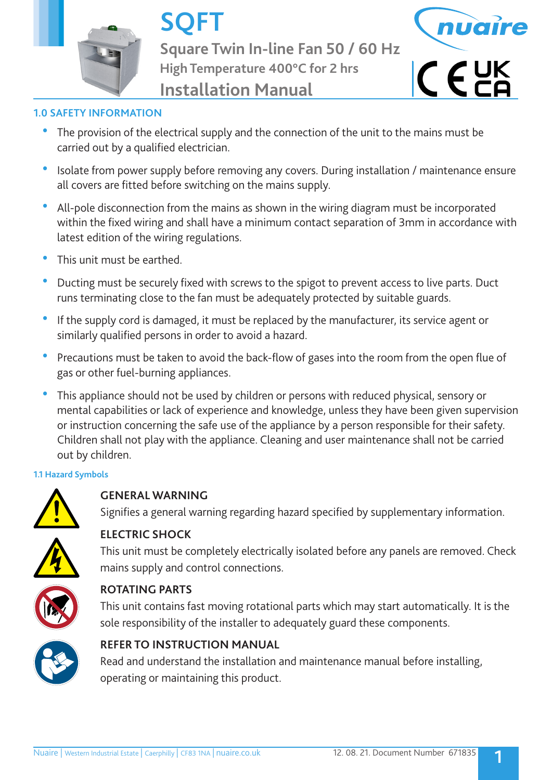

**SQFT Square Twin In-line Fan 50 / 60 Hz High Temperature 400°C for 2 hrs Installation Manual**



# **1.0 SAFETY INFORMATION**

- The provision of the electrical supply and the connection of the unit to the mains must be carried out by a qualified electrician.
- Isolate from power supply before removing any covers. During installation / maintenance ensure all covers are fitted before switching on the mains supply.
- All-pole disconnection from the mains as shown in the wiring diagram must be incorporated within the fixed wiring and shall have a minimum contact separation of 3mm in accordance with latest edition of the wiring regulations.
- This unit must be earthed.
- Ducting must be securely fixed with screws to the spigot to prevent access to live parts. Duct runs terminating close to the fan must be adequately protected by suitable guards.
- If the supply cord is damaged, it must be replaced by the manufacturer, its service agent or similarly qualified persons in order to avoid a hazard.
- Precautions must be taken to avoid the back-flow of gases into the room from the open flue of gas or other fuel-burning appliances.
- This appliance should not be used by children or persons with reduced physical, sensory or mental capabilities or lack of experience and knowledge, unless they have been given supervision or instruction concerning the safe use of the appliance by a person responsible for their safety. Children shall not play with the appliance. Cleaning and user maintenance shall not be carried out by children.

## **1.1 Hazard Symbols**



# **GENERAL WARNING**

Signifies a general warning regarding hazard specified by supplementary information.



# **ELECTRIC SHOCK**

 This unit must be completely electrically isolated before any panels are removed. Check mains supply and control connections.



# **ROTATING PARTS**

 This unit contains fast moving rotational parts which may start automatically. It is the sole responsibility of the installer to adequately guard these components.



# **REFER TO INSTRUCTION MANUAL**

 Read and understand the installation and maintenance manual before installing, operating or maintaining this product.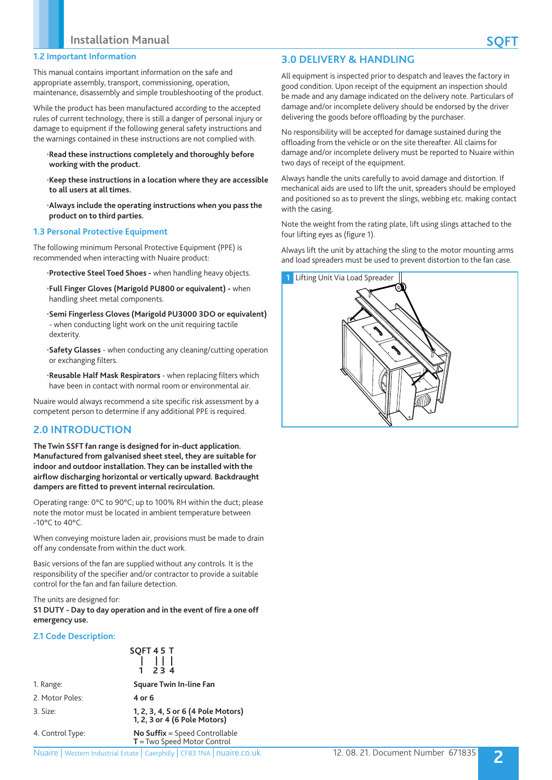This manual contains important information on the safe and appropriate assembly, transport, commissioning, operation, maintenance, disassembly and simple troubleshooting of the product.

While the product has been manufactured according to the accepted rules of current technology, there is still a danger of personal injury or damage to equipment if the following general safety instructions and the warnings contained in these instructions are not complied with.

#### •**Read these instructions completely and thoroughly before working with the product.**

•**Keep these instructions in a location where they are accessible to all users at all times.**

•**Always include the operating instructions when you pass the product on to third parties.**

#### **1.3 Personal Protective Equipment**

The following minimum Personal Protective Equipment (PPE) is recommended when interacting with Nuaire product:

•**Protective Steel Toed Shoes -** when handling heavy objects.

•**Full Finger Gloves (Marigold PU800 or equivalent) -** when handling sheet metal components.

•**Semi Fingerless Gloves (Marigold PU3000 3DO or equivalent)**  - when conducting light work on the unit requiring tactile dexterity.

•**Safety Glasses** - when conducting any cleaning/cutting operation or exchanging filters.

•**Reusable Half Mask Respirators** - when replacing filters which have been in contact with normal room or environmental air.

Nuaire would always recommend a site specific risk assessment by a competent person to determine if any additional PPE is required.

## **2.0 INTRODUCTION**

**The Twin SSFT fan range is designed for in-duct application. Manufactured from galvanised sheet steel, they are suitable for indoor and outdoor installation. They can be installed with the airflow discharging horizontal or vertically upward. Backdraught dampers are fitted to prevent internal recirculation.**

Operating range: 0°C to 90°C; up to 100% RH within the duct; please note the motor must be located in ambient temperature between -10°C to 40°C.

When conveying moisture laden air, provisions must be made to drain off any condensate from within the duct work.

Basic versions of the fan are supplied without any controls. It is the responsibility of the specifier and/or contractor to provide a suitable control for the fan and fan failure detection.

The units are designed for:

**S1 DUTY - Day to day operation and in the event of fire a one off emergency use.**

#### **2.1 Code Description:**

|                  | SQFT 45 T<br>$\begin{array}{ c c c c }\n1 & 1 & 1 & 1 \\ 1 & 2 & 3 & 4\n\end{array}$ |
|------------------|--------------------------------------------------------------------------------------|
| 1. Range:        | Square Twin In-line Fan                                                              |
| 2. Motor Poles:  | 4 or 6                                                                               |
| 3. Size:         | 1, 2, 3, 4, 5 or 6 (4 Pole Motors)<br>1, 2, 3 or 4 (6 Pole Motors)                   |
| 4. Control Type: | <b>No Suffix</b> = Speed Controllable<br>$T = Two Speed Motor Control$               |

#### **T** = Two Speed Motor Control

## **3.0 DELIVERY & HANDLING**

All equipment is inspected prior to despatch and leaves the factory in good condition. Upon receipt of the equipment an inspection should be made and any damage indicated on the delivery note. Particulars of damage and/or incomplete delivery should be endorsed by the driver delivering the goods before offloading by the purchaser.

No responsibility will be accepted for damage sustained during the offloading from the vehicle or on the site thereafter. All claims for damage and/or incomplete delivery must be reported to Nuaire within two days of receipt of the equipment.

Always handle the units carefully to avoid damage and distortion. If mechanical aids are used to lift the unit, spreaders should be employed and positioned so as to prevent the slings, webbing etc. making contact with the casing.

Note the weight from the rating plate, lift using slings attached to the four lifting eyes as (figure 1).

Always lift the unit by attaching the sling to the motor mounting arms and load spreaders must be used to prevent distortion to the fan case.

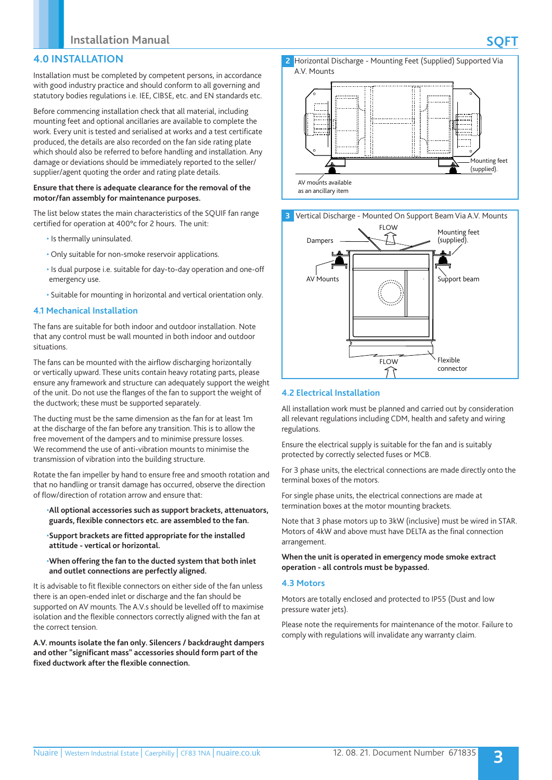## **4.0 INSTALLATION**

Installation must be completed by competent persons, in accordance with good industry practice and should conform to all governing and statutory bodies regulations i.e. IEE, CIBSE, etc. and EN standards etc.

Before commencing installation check that all material, including mounting feet and optional ancillaries are available to complete the work. Every unit is tested and serialised at works and a test certificate produced, the details are also recorded on the fan side rating plate which should also be referred to before handling and installation. Any damage or deviations should be immediately reported to the seller/ supplier/agent quoting the order and rating plate details.

#### **Ensure that there is adequate clearance for the removal of the motor/fan assembly for maintenance purposes.**

The list below states the main characteristics of the SQUIF fan range certified for operation at 400°c for 2 hours. The unit:

- Is thermally uninsulated.
- Only suitable for non-smoke reservoir applications.
- Is dual purpose i.e. suitable for day-to-day operation and one-off emergency use.
- Suitable for mounting in horizontal and vertical orientation only.

#### **4.1 Mechanical Installation**

The fans are suitable for both indoor and outdoor installation. Note that any control must be wall mounted in both indoor and outdoor situations.

The fans can be mounted with the airflow discharging horizontally or vertically upward. These units contain heavy rotating parts, please ensure any framework and structure can adequately support the weight of the unit. Do not use the flanges of the fan to support the weight of the ductwork; these must be supported separately.

The ducting must be the same dimension as the fan for at least 1m at the discharge of the fan before any transition. This is to allow the free movement of the dampers and to minimise pressure losses. We recommend the use of anti-vibration mounts to minimise the transmission of vibration into the building structure.

Rotate the fan impeller by hand to ensure free and smooth rotation and that no handling or transit damage has occurred, observe the direction of flow/direction of rotation arrow and ensure that:

#### •**All optional accessories such as support brackets, attenuators, guards, flexible connectors etc. are assembled to the fan.**

•**Support brackets are fitted appropriate for the installed attitude - vertical or horizontal.**

#### •**When offering the fan to the ducted system that both inlet and outlet connections are perfectly aligned.**

It is advisable to fit flexible connectors on either side of the fan unless there is an open-ended inlet or discharge and the fan should be supported on AV mounts. The A.V.s should be levelled off to maximise isolation and the flexible connectors correctly aligned with the fan at the correct tension.

**A.V. mounts isolate the fan only. Silencers / backdraught dampers and other "significant mass" accessories should form part of the fixed ductwork after the flexible connection.**







## **4.2 Electrical Installation**

All installation work must be planned and carried out by consideration all relevant regulations including CDM, health and safety and wiring regulations.

Ensure the electrical supply is suitable for the fan and is suitably protected by correctly selected fuses or MCB.

For 3 phase units, the electrical connections are made directly onto the terminal boxes of the motors.

For single phase units, the electrical connections are made at termination boxes at the motor mounting brackets.

Note that 3 phase motors up to 3kW (inclusive) must be wired in STAR. Motors of 4kW and above must have DELTA as the final connection arrangement.

**When the unit is operated in emergency mode smoke extract operation - all controls must be bypassed.**

#### **4.3 Motors**

Motors are totally enclosed and protected to IP55 (Dust and low pressure water jets).

Please note the requirements for maintenance of the motor. Failure to comply with regulations will invalidate any warranty claim.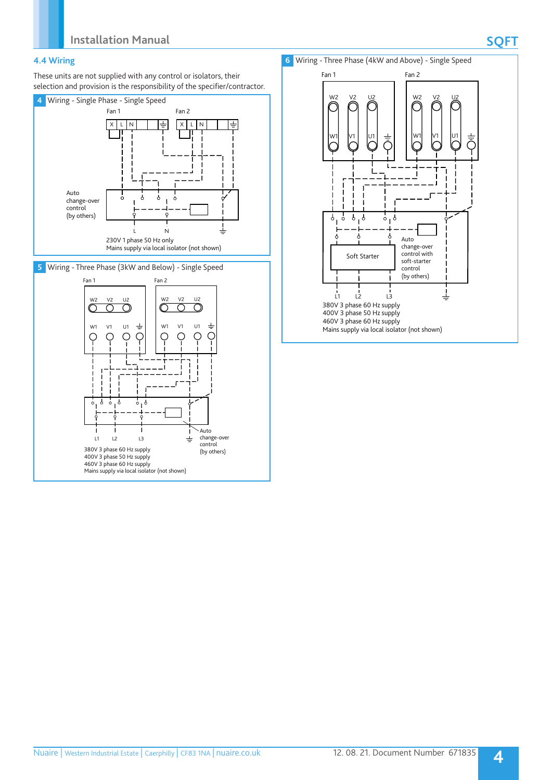## **4.4 Wiring**

These units are not supplied with any control or isolators, their selection and provision is the responsibility of the specifier/contractor.



**5** Wiring - Three Phase (3kW and Below) - Single Speed





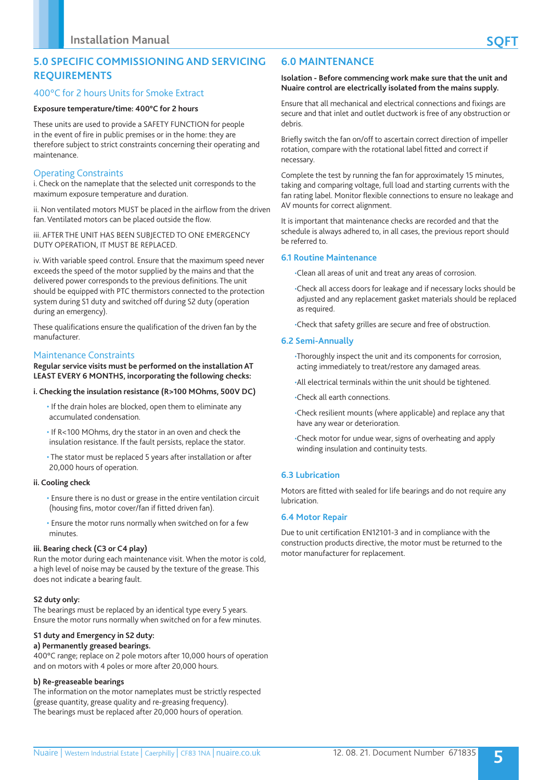## **5.0 SPECIFIC COMMISSIONING AND SERVICING REQUIREMENTS**

## 400°C for 2 hours Units for Smoke Extract

## **Exposure temperature/time: 400°C for 2 hours**

These units are used to provide a SAFETY FUNCTION for people in the event of fire in public premises or in the home: they are therefore subject to strict constraints concerning their operating and maintenance.

## Operating Constraints

i. Check on the nameplate that the selected unit corresponds to the maximum exposure temperature and duration.

ii. Non ventilated motors MUST be placed in the airflow from the driven fan. Ventilated motors can be placed outside the flow.

iii. AFTER THE UNIT HAS BEEN SUBJECTED TO ONE EMERGENCY DUTY OPERATION, IT MUST BE REPLACED.

iv. With variable speed control. Ensure that the maximum speed never exceeds the speed of the motor supplied by the mains and that the delivered power corresponds to the previous definitions. The unit should be equipped with PTC thermistors connected to the protection system during S1 duty and switched off during S2 duty (operation during an emergency).

These qualifications ensure the qualification of the driven fan by the manufacturer.

## Maintenance Constraints

**Regular service visits must be performed on the installation AT LEAST EVERY 6 MONTHS, incorporating the following checks:**

#### **i. Checking the insulation resistance (R>100 MOhms, 500V DC)**

- If the drain holes are blocked, open them to eliminate any accumulated condensation.
- If R<100 MOhms, dry the stator in an oven and check the insulation resistance. If the fault persists, replace the stator.
- The stator must be replaced 5 years after installation or after 20,000 hours of operation.

#### **ii. Cooling check**

- Ensure there is no dust or grease in the entire ventilation circuit (housing fins, motor cover/fan if fitted driven fan).
- Ensure the motor runs normally when switched on for a few minutes.

## **iii. Bearing check (C3 or C4 play)**

Run the motor during each maintenance visit. When the motor is cold, a high level of noise may be caused by the texture of the grease. This does not indicate a bearing fault.

## **S2 duty only:**

The bearings must be replaced by an identical type every 5 years. Ensure the motor runs normally when switched on for a few minutes.

## **S1 duty and Emergency in S2 duty:**

## **a) Permanently greased bearings.**

400°C range; replace on 2 pole motors after 10,000 hours of operation and on motors with 4 poles or more after 20,000 hours.

#### **b) Re-greaseable bearings**

The information on the motor nameplates must be strictly respected (grease quantity, grease quality and re-greasing frequency). The bearings must be replaced after 20,000 hours of operation.

#### **Isolation - Before commencing work make sure that the unit and Nuaire control are electrically isolated from the mains supply.**

Ensure that all mechanical and electrical connections and fixings are secure and that inlet and outlet ductwork is free of any obstruction or debris.

Briefly switch the fan on/off to ascertain correct direction of impeller rotation, compare with the rotational label fitted and correct if necessary.

Complete the test by running the fan for approximately 15 minutes, taking and comparing voltage, full load and starting currents with the fan rating label. Monitor flexible connections to ensure no leakage and AV mounts for correct alignment.

It is important that maintenance checks are recorded and that the schedule is always adhered to, in all cases, the previous report should be referred to.

## **6.1 Routine Maintenance**

•Clean all areas of unit and treat any areas of corrosion.

•Check all access doors for leakage and if necessary locks should be adjusted and any replacement gasket materials should be replaced as required.

•Check that safety grilles are secure and free of obstruction.

## **6.2 Semi-Annually**

•Thoroughly inspect the unit and its components for corrosion, acting immediately to treat/restore any damaged areas.

•All electrical terminals within the unit should be tightened.

•Check all earth connections.

•Check resilient mounts (where applicable) and replace any that have any wear or deterioration.

•Check motor for undue wear, signs of overheating and apply winding insulation and continuity tests.

## **6.3 Lubrication**

Motors are fitted with sealed for life bearings and do not require any lubrication.

## **6.4 Motor Repair**

Due to unit certification EN12101-3 and in compliance with the construction products directive, the motor must be returned to the motor manufacturer for replacement.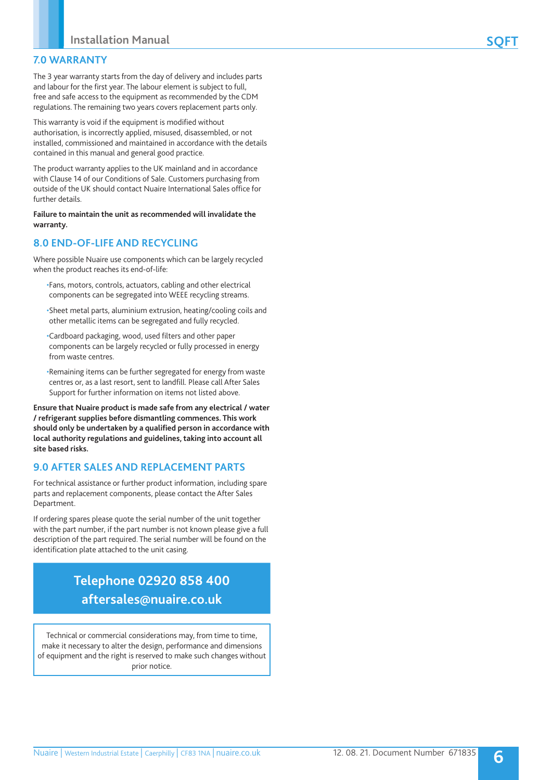## **7.0 WARRANTY**

The 3 year warranty starts from the day of delivery and includes parts and labour for the first year. The labour element is subject to full, free and safe access to the equipment as recommended by the CDM regulations. The remaining two years covers replacement parts only.

This warranty is void if the equipment is modified without authorisation, is incorrectly applied, misused, disassembled, or not installed, commissioned and maintained in accordance with the details contained in this manual and general good practice.

The product warranty applies to the UK mainland and in accordance with Clause 14 of our Conditions of Sale. Customers purchasing from outside of the UK should contact Nuaire International Sales office for further details.

**Failure to maintain the unit as recommended will invalidate the warranty.**

## **8.0 END-OF-LIFE AND RECYCLING**

Where possible Nuaire use components which can be largely recycled when the product reaches its end-of-life:

- •Fans, motors, controls, actuators, cabling and other electrical components can be segregated into WEEE recycling streams.
- •Sheet metal parts, aluminium extrusion, heating/cooling coils and other metallic items can be segregated and fully recycled.
- •Cardboard packaging, wood, used filters and other paper components can be largely recycled or fully processed in energy from waste centres.
- •Remaining items can be further segregated for energy from waste centres or, as a last resort, sent to landfill. Please call After Sales Support for further information on items not listed above.

**Ensure that Nuaire product is made safe from any electrical / water / refrigerant supplies before dismantling commences. This work should only be undertaken by a qualified person in accordance with local authority regulations and guidelines, taking into account all site based risks.**

## **9.0 AFTER SALES AND REPLACEMENT PARTS**

For technical assistance or further product information, including spare parts and replacement components, please contact the After Sales Department.

If ordering spares please quote the serial number of the unit together with the part number, if the part number is not known please give a full description of the part required. The serial number will be found on the identification plate attached to the unit casing.

# **Telephone 02920 858 400 aftersales@nuaire.co.uk**

Technical or commercial considerations may, from time to time, make it necessary to alter the design, performance and dimensions of equipment and the right is reserved to make such changes without prior notice.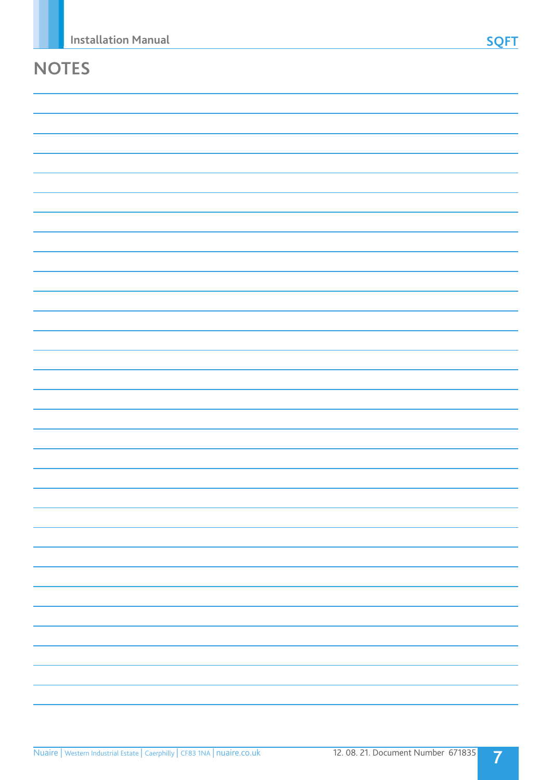# **NOTES**

**7**